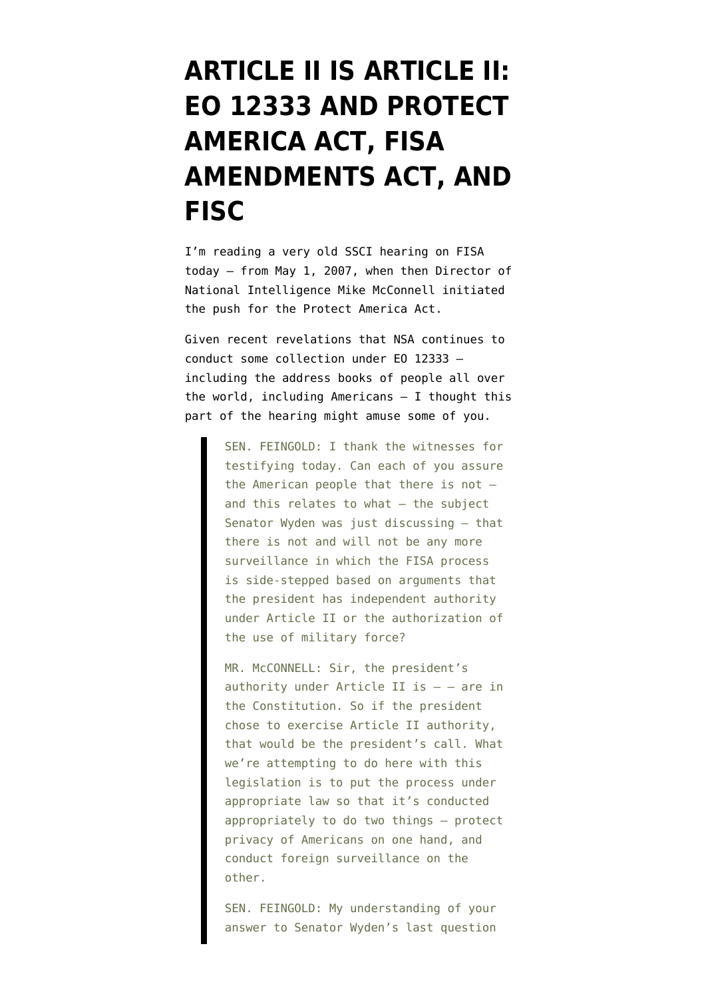## **[ARTICLE II IS ARTICLE II:](https://www.emptywheel.net/2013/10/15/dual-authorities-eo-12333-and-protect-america-act-fisa-amendments-act-and-fisc/) [EO 12333 AND PROTECT](https://www.emptywheel.net/2013/10/15/dual-authorities-eo-12333-and-protect-america-act-fisa-amendments-act-and-fisc/) [AMERICA ACT, FISA](https://www.emptywheel.net/2013/10/15/dual-authorities-eo-12333-and-protect-america-act-fisa-amendments-act-and-fisc/) [AMENDMENTS ACT, AND](https://www.emptywheel.net/2013/10/15/dual-authorities-eo-12333-and-protect-america-act-fisa-amendments-act-and-fisc/) [FISC](https://www.emptywheel.net/2013/10/15/dual-authorities-eo-12333-and-protect-america-act-fisa-amendments-act-and-fisc/)**

I'm reading a very old SSCI hearing on FISA today — [from May 1, 2007,](http://www.dni.gov/files/documents/Newsroom/Testimonies/20070501_transcript.pdf) when then Director of National Intelligence Mike McConnell initiated the push for the Protect America Act.

Given recent revelations that NSA continues to conduct some collection under [EO 12333](http://www.emptywheel.net/2013/10/04/upstream-us-person-collection-eo-12333-andor-fisa/)  including the address books of people all over the world, including Americans — I thought this part of the hearing might amuse some of you.

> SEN. FEINGOLD: I thank the witnesses for testifying today. Can each of you assure the American people that there is not and this relates to what — the subject Senator Wyden was just discussing — that there is not and will not be any more surveillance in which the FISA process is side-stepped based on arguments that the president has independent authority under Article II or the authorization of the use of military force?

> MR. McCONNELL: Sir, the president's authority under Article II is  $-$  – are in the Constitution. So if the president chose to exercise Article II authority, that would be the president's call. What we're attempting to do here with this legislation is to put the process under appropriate law so that it's conducted appropriately to do two things — protect privacy of Americans on one hand, and conduct foreign surveillance on the other.

SEN. FEINGOLD: My understanding of your answer to Senator Wyden's last question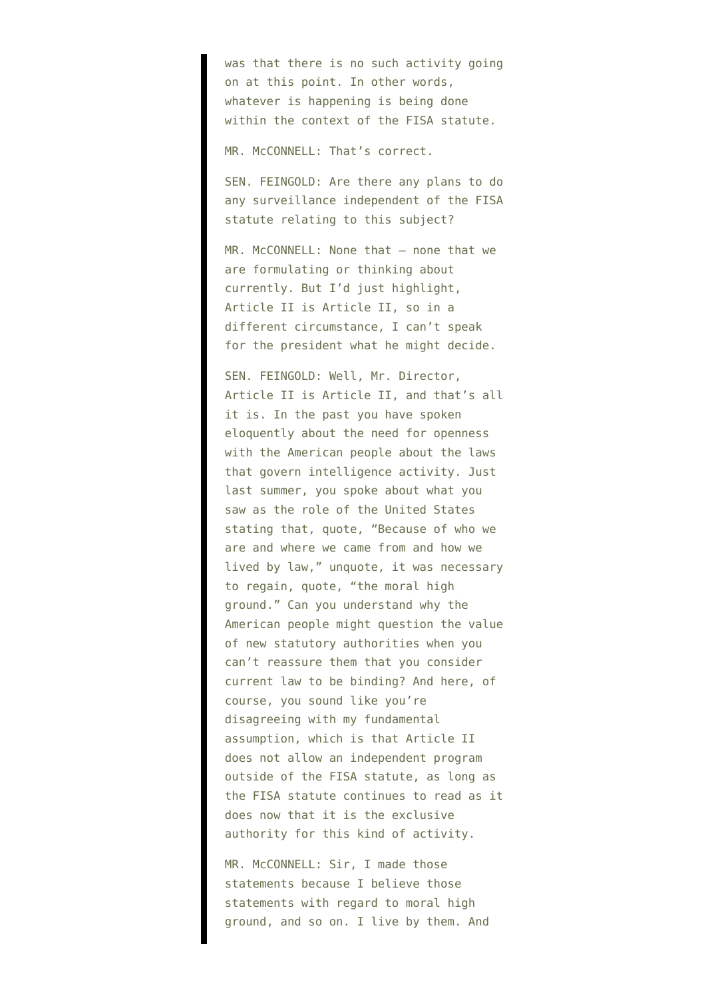was that there is no such activity going on at this point. In other words, whatever is happening is being done within the context of the FISA statute.

MR. McCONNELL: That's correct.

SEN. FEINGOLD: Are there any plans to do any surveillance independent of the FISA statute relating to this subject?

MR. McCONNELL: None that - none that we are formulating or thinking about currently. But I'd just highlight, Article II is Article II, so in a different circumstance, I can't speak for the president what he might decide.

SEN. FEINGOLD: Well, Mr. Director, Article II is Article II, and that's all it is. In the past you have spoken eloquently about the need for openness with the American people about the laws that govern intelligence activity. Just last summer, you spoke about what you saw as the role of the United States stating that, quote, "Because of who we are and where we came from and how we lived by law," unquote, it was necessary to regain, quote, "the moral high ground." Can you understand why the American people might question the value of new statutory authorities when you can't reassure them that you consider current law to be binding? And here, of course, you sound like you're disagreeing with my fundamental assumption, which is that Article II does not allow an independent program outside of the FISA statute, as long as the FISA statute continues to read as it does now that it is the exclusive authority for this kind of activity.

MR. McCONNELL: Sir, I made those statements because I believe those statements with regard to moral high ground, and so on. I live by them. And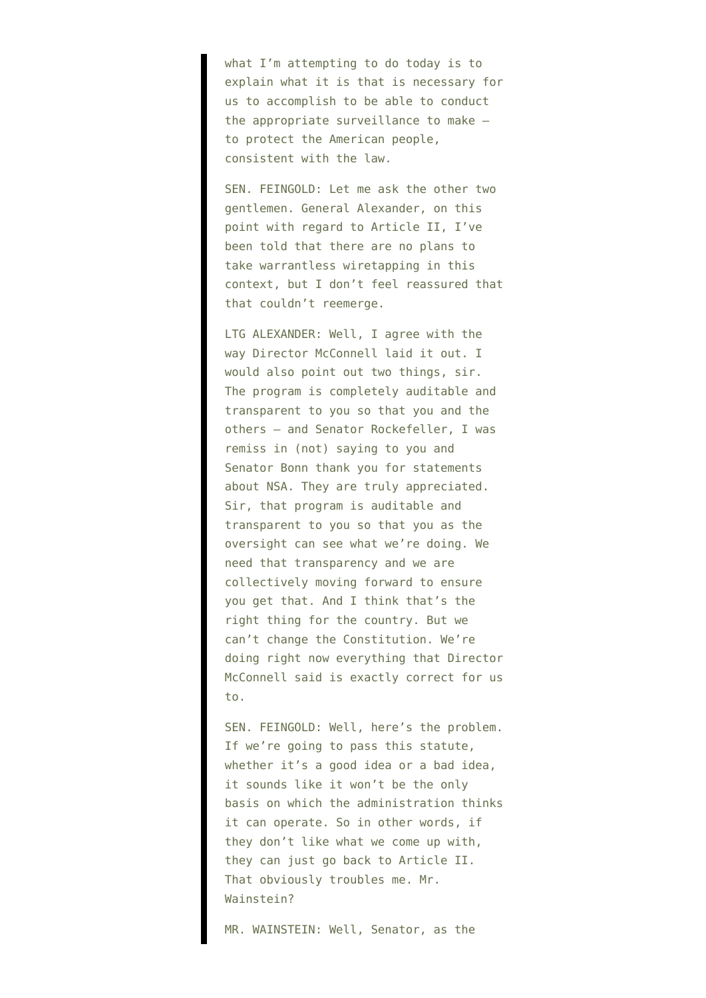what I'm attempting to do today is to explain what it is that is necessary for us to accomplish to be able to conduct the appropriate surveillance to make to protect the American people, consistent with the law.

SEN. FEINGOLD: Let me ask the other two gentlemen. General Alexander, on this point with regard to Article II, I've been told that there are no plans to take warrantless wiretapping in this context, but I don't feel reassured that that couldn't reemerge.

LTG ALEXANDER: Well, I agree with the way Director McConnell laid it out. I would also point out two things, sir. The program is completely auditable and transparent to you so that you and the others — and Senator Rockefeller, I was remiss in (not) saying to you and Senator Bonn thank you for statements about NSA. They are truly appreciated. Sir, that program is auditable and transparent to you so that you as the oversight can see what we're doing. We need that transparency and we are collectively moving forward to ensure you get that. And I think that's the right thing for the country. But we can't change the Constitution. We're doing right now everything that Director McConnell said is exactly correct for us to.

SEN. FEINGOLD: Well, here's the problem. If we're going to pass this statute, whether it's a good idea or a bad idea, it sounds like it won't be the only basis on which the administration thinks it can operate. So in other words, if they don't like what we come up with, they can just go back to Article II. That obviously troubles me. Mr. Wainstein?

MR. WAINSTEIN: Well, Senator, as the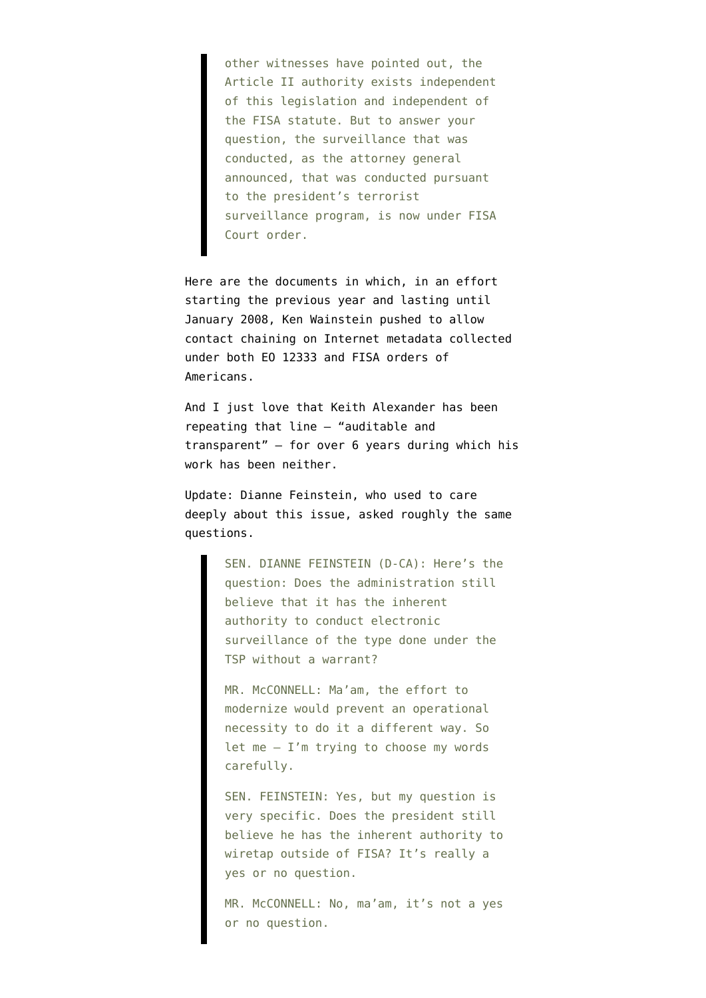other witnesses have pointed out, the Article II authority exists independent of this legislation and independent of the FISA statute. But to answer your question, the surveillance that was conducted, as the attorney general announced, that was conducted pursuant to the president's terrorist surveillance program, is now under FISA Court order.

Here are [the documents](https://www.aclu.org/files/natsec/nsa/20130816/NSA%20Memo%20to%20DOD%20-%20Proposed%20Amendment%20to%20Conduct%20Analysis%20of%20Metadata.pdf) in which, in an effort starting the previous year and lasting until January 2008, Ken Wainstein pushed to allow contact chaining on Internet metadata collected under both EO 12333 and FISA orders of Americans.

And I just love that Keith Alexander has been repeating that line — "auditable and transparent" — for over 6 years during which his work has been neither.

Update: Dianne Feinstein, who used to care deeply about this issue, asked roughly the same questions.

> SEN. DIANNE FEINSTEIN (D-CA): Here's the question: Does the administration still believe that it has the inherent authority to conduct electronic surveillance of the type done under the TSP without a warrant?

MR. McCONNELL: Ma'am, the effort to modernize would prevent an operational necessity to do it a different way. So let me  $-$  I'm trying to choose my words carefully.

SEN. FEINSTEIN: Yes, but my question is very specific. Does the president still believe he has the inherent authority to wiretap outside of FISA? It's really a yes or no question.

MR. McCONNELL: No, ma'am, it's not a yes or no question.